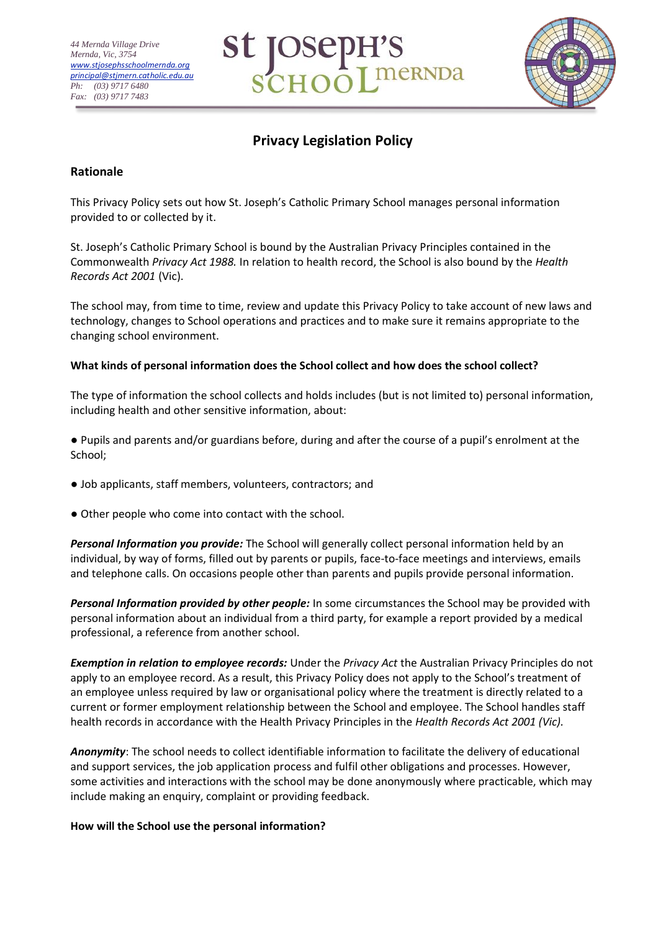



# **Privacy Legislation Policy**

## **Rationale**

This Privacy Policy sets out how St. Joseph's Catholic Primary School manages personal information provided to or collected by it.

St. Joseph's Catholic Primary School is bound by the Australian Privacy Principles contained in the Commonwealth *Privacy Act 1988.* In relation to health record, the School is also bound by the *Health Records Act 2001* (Vic).

The school may, from time to time, review and update this Privacy Policy to take account of new laws and technology, changes to School operations and practices and to make sure it remains appropriate to the changing school environment.

## **What kinds of personal information does the School collect and how does the school collect?**

The type of information the school collects and holds includes (but is not limited to) personal information, including health and other sensitive information, about:

● Pupils and parents and/or guardians before, during and after the course of a pupil's enrolment at the School;

- Job applicants, staff members, volunteers, contractors; and
- Other people who come into contact with the school.

*Personal Information you provide:* The School will generally collect personal information held by an individual, by way of forms, filled out by parents or pupils, face-to-face meetings and interviews, emails and telephone calls. On occasions people other than parents and pupils provide personal information.

*Personal Information provided by other people:* In some circumstances the School may be provided with personal information about an individual from a third party, for example a report provided by a medical professional, a reference from another school.

*Exemption in relation to employee records:* Under the *Privacy Act* the Australian Privacy Principles do not apply to an employee record. As a result, this Privacy Policy does not apply to the School's treatment of an employee unless required by law or organisational policy where the treatment is directly related to a current or former employment relationship between the School and employee. The School handles staff health records in accordance with the Health Privacy Principles in the *Health Records Act 2001 (Vic).*

*Anonymity*: The school needs to collect identifiable information to facilitate the delivery of educational and support services, the job application process and fulfil other obligations and processes. However, some activities and interactions with the school may be done anonymously where practicable, which may include making an enquiry, complaint or providing feedback.

## **How will the School use the personal information?**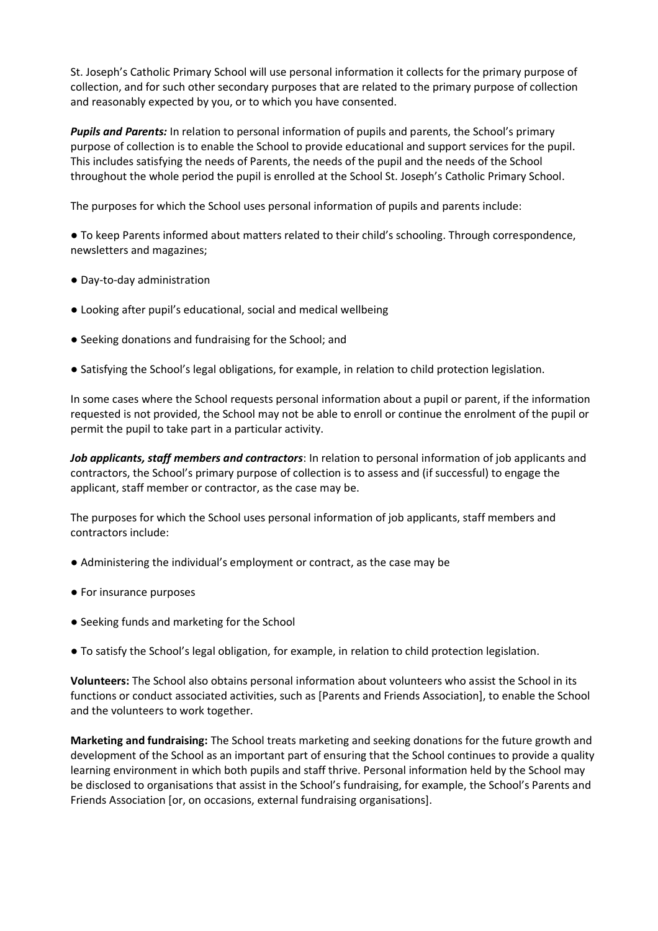St. Joseph's Catholic Primary School will use personal information it collects for the primary purpose of collection, and for such other secondary purposes that are related to the primary purpose of collection and reasonably expected by you, or to which you have consented.

*Pupils and Parents:* In relation to personal information of pupils and parents, the School's primary purpose of collection is to enable the School to provide educational and support services for the pupil. This includes satisfying the needs of Parents, the needs of the pupil and the needs of the School throughout the whole period the pupil is enrolled at the School St. Joseph's Catholic Primary School.

The purposes for which the School uses personal information of pupils and parents include:

● To keep Parents informed about matters related to their child's schooling. Through correspondence, newsletters and magazines;

- Day-to-day administration
- Looking after pupil's educational, social and medical wellbeing
- Seeking donations and fundraising for the School; and
- Satisfying the School's legal obligations, for example, in relation to child protection legislation.

In some cases where the School requests personal information about a pupil or parent, if the information requested is not provided, the School may not be able to enroll or continue the enrolment of the pupil or permit the pupil to take part in a particular activity.

*Job applicants, staff members and contractors*: In relation to personal information of job applicants and contractors, the School's primary purpose of collection is to assess and (if successful) to engage the applicant, staff member or contractor, as the case may be.

The purposes for which the School uses personal information of job applicants, staff members and contractors include:

- Administering the individual's employment or contract, as the case may be
- For insurance purposes
- Seeking funds and marketing for the School
- To satisfy the School's legal obligation, for example, in relation to child protection legislation.

**Volunteers:** The School also obtains personal information about volunteers who assist the School in its functions or conduct associated activities, such as [Parents and Friends Association], to enable the School and the volunteers to work together.

**Marketing and fundraising:** The School treats marketing and seeking donations for the future growth and development of the School as an important part of ensuring that the School continues to provide a quality learning environment in which both pupils and staff thrive. Personal information held by the School may be disclosed to organisations that assist in the School's fundraising, for example, the School's Parents and Friends Association [or, on occasions, external fundraising organisations].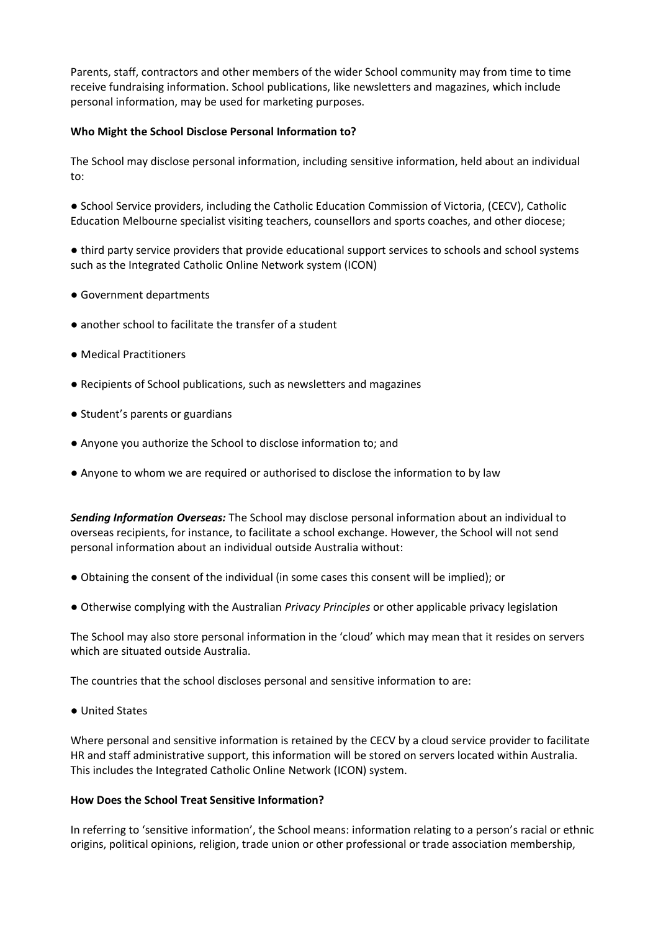Parents, staff, contractors and other members of the wider School community may from time to time receive fundraising information. School publications, like newsletters and magazines, which include personal information, may be used for marketing purposes.

#### **Who Might the School Disclose Personal Information to?**

The School may disclose personal information, including sensitive information, held about an individual to:

● School Service providers, including the Catholic Education Commission of Victoria, (CECV), Catholic Education Melbourne specialist visiting teachers, counsellors and sports coaches, and other diocese;

● third party service providers that provide educational support services to schools and school systems such as the Integrated Catholic Online Network system (ICON)

- Government departments
- another school to facilitate the transfer of a student
- Medical Practitioners
- Recipients of School publications, such as newsletters and magazines
- Student's parents or guardians
- Anyone you authorize the School to disclose information to; and
- Anyone to whom we are required or authorised to disclose the information to by law

*Sending Information Overseas:* The School may disclose personal information about an individual to overseas recipients, for instance, to facilitate a school exchange. However, the School will not send personal information about an individual outside Australia without:

- Obtaining the consent of the individual (in some cases this consent will be implied); or
- Otherwise complying with the Australian *Privacy Principles* or other applicable privacy legislation

The School may also store personal information in the 'cloud' which may mean that it resides on servers which are situated outside Australia.

The countries that the school discloses personal and sensitive information to are:

● United States

Where personal and sensitive information is retained by the CECV by a cloud service provider to facilitate HR and staff administrative support, this information will be stored on servers located within Australia. This includes the Integrated Catholic Online Network (ICON) system.

#### **How Does the School Treat Sensitive Information?**

In referring to 'sensitive information', the School means: information relating to a person's racial or ethnic origins, political opinions, religion, trade union or other professional or trade association membership,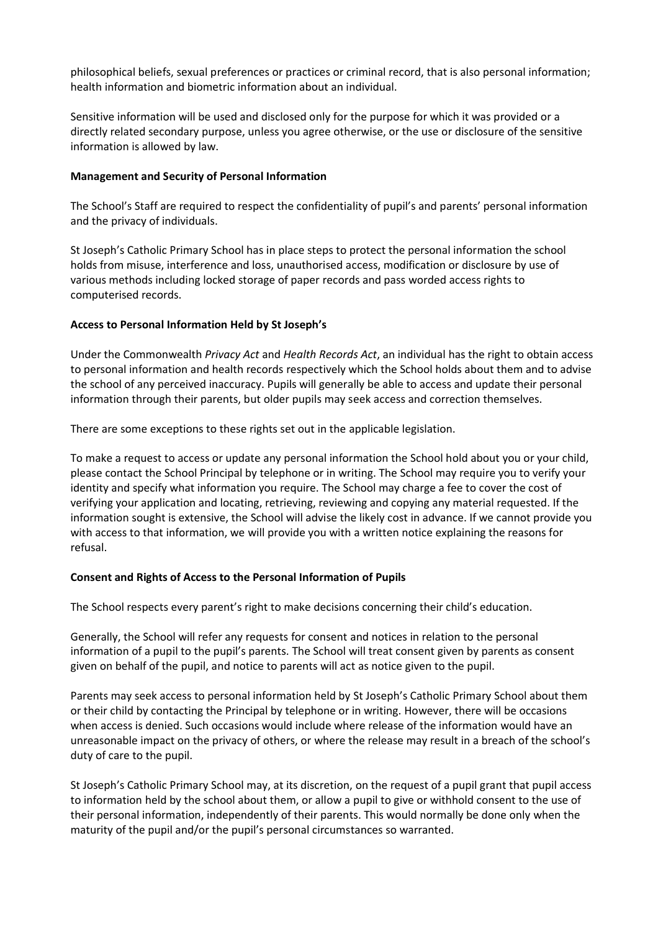philosophical beliefs, sexual preferences or practices or criminal record, that is also personal information; health information and biometric information about an individual.

Sensitive information will be used and disclosed only for the purpose for which it was provided or a directly related secondary purpose, unless you agree otherwise, or the use or disclosure of the sensitive information is allowed by law.

#### **Management and Security of Personal Information**

The School's Staff are required to respect the confidentiality of pupil's and parents' personal information and the privacy of individuals.

St Joseph's Catholic Primary School has in place steps to protect the personal information the school holds from misuse, interference and loss, unauthorised access, modification or disclosure by use of various methods including locked storage of paper records and pass worded access rights to computerised records.

### **Access to Personal Information Held by St Joseph's**

Under the Commonwealth *Privacy Act* and *Health Records Act*, an individual has the right to obtain access to personal information and health records respectively which the School holds about them and to advise the school of any perceived inaccuracy. Pupils will generally be able to access and update their personal information through their parents, but older pupils may seek access and correction themselves.

There are some exceptions to these rights set out in the applicable legislation.

To make a request to access or update any personal information the School hold about you or your child, please contact the School Principal by telephone or in writing. The School may require you to verify your identity and specify what information you require. The School may charge a fee to cover the cost of verifying your application and locating, retrieving, reviewing and copying any material requested. If the information sought is extensive, the School will advise the likely cost in advance. If we cannot provide you with access to that information, we will provide you with a written notice explaining the reasons for refusal.

#### **Consent and Rights of Access to the Personal Information of Pupils**

The School respects every parent's right to make decisions concerning their child's education.

Generally, the School will refer any requests for consent and notices in relation to the personal information of a pupil to the pupil's parents. The School will treat consent given by parents as consent given on behalf of the pupil, and notice to parents will act as notice given to the pupil.

Parents may seek access to personal information held by St Joseph's Catholic Primary School about them or their child by contacting the Principal by telephone or in writing. However, there will be occasions when access is denied. Such occasions would include where release of the information would have an unreasonable impact on the privacy of others, or where the release may result in a breach of the school's duty of care to the pupil.

St Joseph's Catholic Primary School may, at its discretion, on the request of a pupil grant that pupil access to information held by the school about them, or allow a pupil to give or withhold consent to the use of their personal information, independently of their parents. This would normally be done only when the maturity of the pupil and/or the pupil's personal circumstances so warranted.